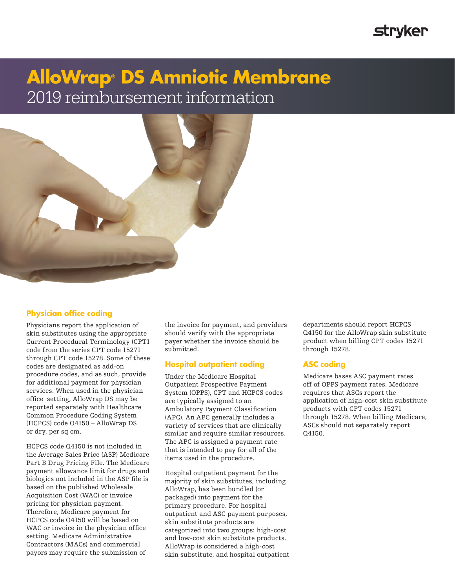## **Stryker**

# **AlloWrap® DS Amniotic Membrane** 2019 reimbursement information



### **Physician office coding**

Physicians report the application of skin substitutes using the appropriate Current Procedural Terminology (CPT1 code from the series CPT code 15271 through CPT code 15278. Some of these codes are designated as add-on procedure codes, and as such, provide for additional payment for physician services. When used in the physician office setting, AlloWrap DS may be reported separately with Healthcare Common Procedure Coding System (HCPCS) code Q4150 – AlloWrap DS or dry, per sq cm.

HCPCS code Q4150 is not included in the Average Sales Price (ASP) Medicare Part B Drug Pricing File. The Medicare payment allowance limit for drugs and biologics not included in the ASP file is based on the published Wholesale Acquisition Cost (WAC) or invoice pricing for physician payment. Therefore, Medicare payment for HCPCS code Q4150 will be based on WAC or invoice in the physician office setting. Medicare Administrative Contractors (MACs) and commercial payors may require the submission of

the invoice for payment, and providers should verify with the appropriate payer whether the invoice should be submitted.

### **Hospital outpatient coding**

Under the Medicare Hospital Outpatient Prospective Payment System (OPPS), CPT and HCPCS codes are typically assigned to an Ambulatory Payment Classification (APC). An APC generally includes a variety of services that are clinically similar and require similar resources. The APC is assigned a payment rate that is intended to pay for all of the items used in the procedure.

Hospital outpatient payment for the majority of skin substitutes, including AlloWrap, has been bundled (or packaged) into payment for the primary procedure. For hospital outpatient and ASC payment purposes, skin substitute products are categorized into two groups: high-cost and low-cost skin substitute products. AlloWrap is considered a high-cost skin substitute, and hospital outpatient departments should report HCPCS Q4150 for the AlloWrap skin substitute product when billing CPT codes 15271 through 15278.

### **ASC coding**

Medicare bases ASC payment rates off of OPPS payment rates. Medicare requires that ASCs report the application of high-cost skin substitute products with CPT codes 15271 through 15278. When billing Medicare, ASCs should not separately report Q4150.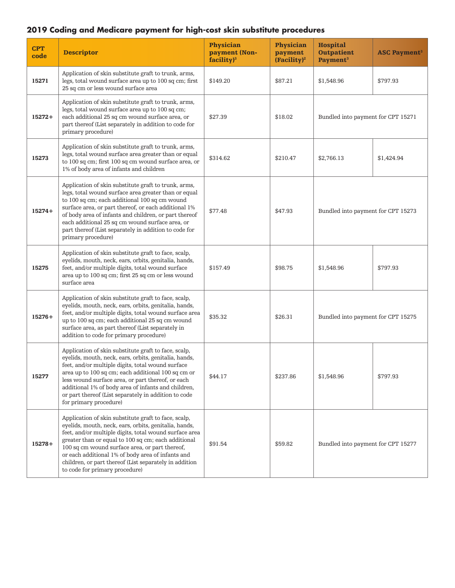### **2019 Coding and Medicare payment for high-cost skin substitute procedures**

| <b>CPT</b><br>code | <b>Descriptor</b>                                                                                                                                                                                                                                                                                                                                                                                                                 | <b>Physician</b><br>payment (Non-<br>facility) <sup>3</sup> | <b>Physician</b><br>payment<br>(Facility) <sup>2</sup> | <b>Hospital</b><br><b>Outpatient</b><br>Payment <sup>3</sup> | <b>ASC Payment<sup>3</sup></b> |
|--------------------|-----------------------------------------------------------------------------------------------------------------------------------------------------------------------------------------------------------------------------------------------------------------------------------------------------------------------------------------------------------------------------------------------------------------------------------|-------------------------------------------------------------|--------------------------------------------------------|--------------------------------------------------------------|--------------------------------|
| 15271              | Application of skin substitute graft to trunk, arms,<br>legs, total wound surface area up to 100 sq cm; first<br>25 sq cm or less wound surface area                                                                                                                                                                                                                                                                              | \$149.20                                                    | \$87.21                                                | \$1,548.96                                                   | \$797.93                       |
| $15272+$           | Application of skin substitute graft to trunk, arms,<br>legs, total wound surface area up to 100 sq cm;<br>each additional 25 sq cm wound surface area, or<br>part thereof (List separately in addition to code for<br>primary procedure)                                                                                                                                                                                         | \$27.39                                                     | \$18.02                                                | Bundled into payment for CPT 15271                           |                                |
| 15273              | Application of skin substitute graft to trunk, arms,<br>legs, total wound surface area greater than or equal<br>to 100 sq cm; first 100 sq cm wound surface area, or<br>1% of body area of infants and children                                                                                                                                                                                                                   | \$314.62                                                    | \$210.47                                               | \$2,766.13                                                   | \$1,424.94                     |
| $15274+$           | Application of skin substitute graft to trunk, arms,<br>legs, total wound surface area greater than or equal<br>to 100 sq cm; each additional 100 sq cm wound<br>surface area, or part thereof, or each additional $1\%$<br>of body area of infants and children, or part thereof<br>each additional 25 sq cm wound surface area, or<br>part thereof (List separately in addition to code for<br>primary procedure)               | \$77.48                                                     | \$47.93                                                | Bundled into payment for CPT 15273                           |                                |
| 15275              | Application of skin substitute graft to face, scalp,<br>eyelids, mouth, neck, ears, orbits, genitalia, hands,<br>feet, and/or multiple digits, total wound surface<br>area up to 100 sq cm; first 25 sq cm or less wound<br>surface area                                                                                                                                                                                          | \$157.49                                                    | \$98.75                                                | \$1,548.96                                                   | \$797.93                       |
| $15276+$           | Application of skin substitute graft to face, scalp,<br>eyelids, mouth, neck, ears, orbits, genitalia, hands,<br>feet, and/or multiple digits, total wound surface area<br>up to 100 sq cm; each additional 25 sq cm wound<br>surface area, as part thereof (List separately in<br>addition to code for primary procedure)                                                                                                        | \$35.32                                                     | \$26.31                                                | Bundled into payment for CPT 15275                           |                                |
| 15277              | Application of skin substitute graft to face, scalp,<br>eyelids, mouth, neck, ears, orbits, genitalia, hands,<br>feet, and/or multiple digits, total wound surface<br>area up to 100 sq cm; each additional 100 sq cm or<br>less wound surface area, or part thereof, or each<br>additional 1% of body area of infants and children,<br>or part thereof (List separately in addition to code<br>for primary procedure)            | \$44.17                                                     | \$237.86                                               | \$1,548.96                                                   | \$797.93                       |
| $15278+$           | Application of skin substitute graft to face, scalp,<br>eyelids, mouth, neck, ears, orbits, genitalia, hands,<br>feet, and/or multiple digits, total wound surface area<br>greater than or equal to 100 sq cm; each additional<br>100 sq cm wound surface area, or part thereof,<br>or each additional 1% of body area of infants and<br>children, or part thereof (List separately in addition<br>to code for primary procedure) | \$91.54                                                     | \$59.82                                                | Bundled into payment for CPT 15277                           |                                |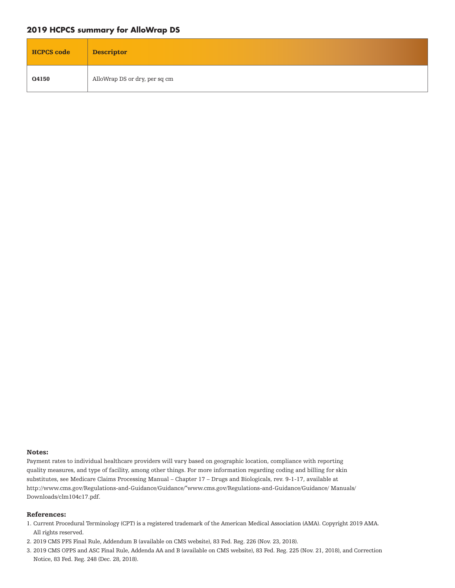### **2019 HCPCS summary for AlloWrap DS**

| <b>HCPCS</b> code | <b>Descriptor</b>             |
|-------------------|-------------------------------|
| Q4150             | AlloWrap DS or dry, per sq cm |

#### Notes:

Payment rates to individual healthcare providers will vary based on geographic location, compliance with reporting quality measures, and type of facility, among other things. For more information regarding coding and billing for skin substitutes, see Medicare Claims Processing Manual – Chapter 17 – Drugs and Biologicals, rev. 9-1-17, available at http://www.cms.gov/Regulations-and-Guidance/Guidance/"www.cms.gov/Regulations-and-Guidance/Guidance/ Manuals/ Downloads/clm104c17.pdf.

#### References:

- 1. Current Procedural Terminology (CPT) is a registered trademark of the American Medical Association (AMA). Copyright 2019 AMA. All rights reserved.
- 2. 2019 CMS PFS Final Rule, Addendum B (available on CMS website), 83 Fed. Reg. 226 (Nov. 23, 2018).
- 3. 2019 CMS OPPS and ASC Final Rule, Addenda AA and B (available on CMS website), 83 Fed. Reg. 225 (Nov. 21, 2018), and Correction Notice, 83 Fed. Reg. 248 (Dec. 28, 2018).